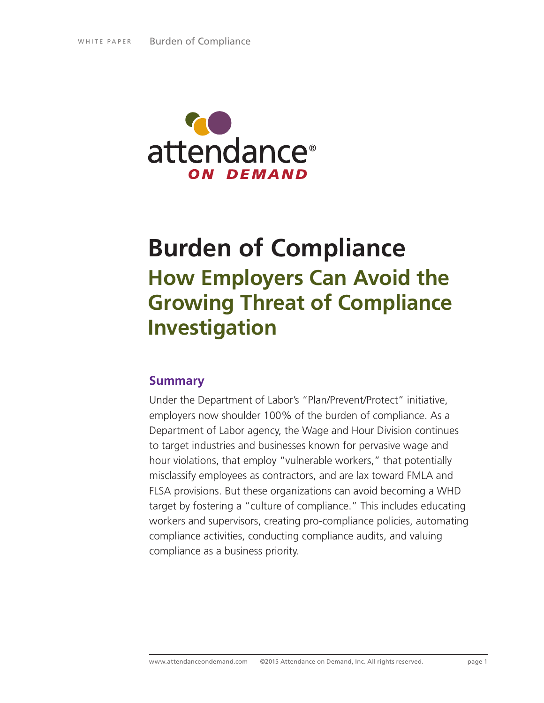

# **Burden of Compliance How Employers Can Avoid the Growing Threat of Compliance Investigation**

#### **Summary**

Under the Department of Labor's "Plan/Prevent/Protect" initiative, employers now shoulder 100% of the burden of compliance. As a Department of Labor agency, the Wage and Hour Division continues to target industries and businesses known for pervasive wage and hour violations, that employ "vulnerable workers," that potentially misclassify employees as contractors, and are lax toward FMLA and FLSA provisions. But these organizations can avoid becoming a WHD target by fostering a "culture of compliance." This includes educating workers and supervisors, creating pro-compliance policies, automating compliance activities, conducting compliance audits, and valuing compliance as a business priority.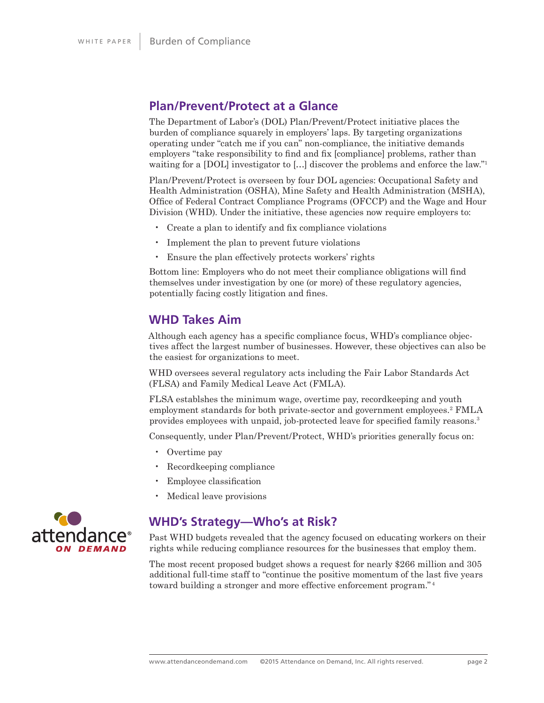#### **Plan/Prevent/Protect at a Glance**

The Department of Labor's (DOL) Plan/Prevent/Protect initiative places the burden of compliance squarely in employers' laps. By targeting organizations operating under "catch me if you can" non-compliance, the initiative demands employers "take responsibility to find and fix [compliance] problems, rather than waiting for a [DOL] investigator to […] discover the problems and enforce the law."<sup>1</sup>

Plan/Prevent/Protect is overseen by four DOL agencies: Occupational Safety and Health Administration (OSHA), Mine Safety and Health Administration (MSHA), Office of Federal Contract Compliance Programs (OFCCP) and the Wage and Hour Division (WHD). Under the initiative, these agencies now require employers to:

- Create a plan to identify and fix compliance violations
- Implement the plan to prevent future violations
- Ensure the plan effectively protects workers' rights

Bottom line: Employers who do not meet their compliance obligations will find themselves under investigation by one (or more) of these regulatory agencies, potentially facing costly litigation and fines.

### **WHD Takes Aim**

Although each agency has a specific compliance focus, WHD's compliance objectives affect the largest number of businesses. However, these objectives can also be the easiest for organizations to meet.

WHD oversees several regulatory acts including the Fair Labor Standards Act (FLSA) and Family Medical Leave Act (FMLA).

FLSA establshes the minimum wage, overtime pay, recordkeeping and youth employment standards for both private-sector and government employees.<sup>2</sup> FMLA provides employees with unpaid, job-protected leave for specified family reasons.<sup>3</sup>

Consequently, under Plan/Prevent/Protect, WHD's priorities generally focus on:

- Overtime pay
- Recordkeeping compliance
- Employee classification
- Medical leave provisions



#### **WHD's Strategy—Who's at Risk?**

Past WHD budgets revealed that the agency focused on educating workers on their rights while reducing compliance resources for the businesses that employ them.

The most recent proposed budget shows a request for nearly \$266 million and 305 additional full-time staff to "continue the positive momentum of the last five years toward building a stronger and more effective enforcement program." <sup>4</sup>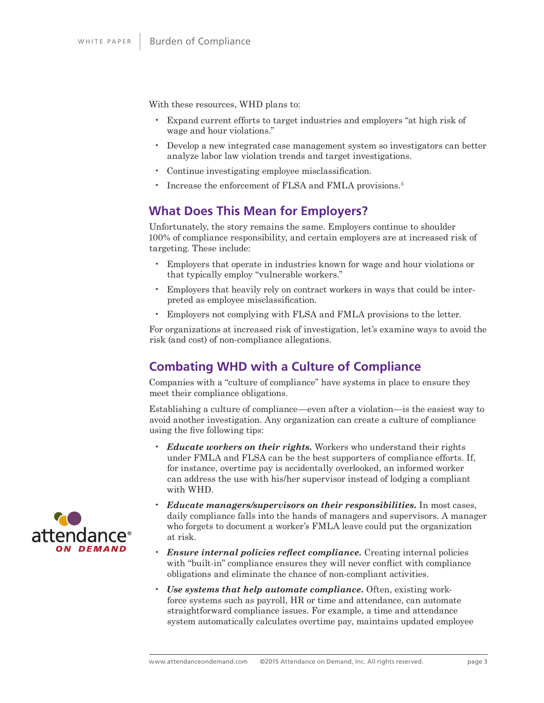With these resources, WHD plans to:

- Expand current efforts to target industries and employers "at high risk of wage and hour violations."
- Develop a new integrated case management system so investigators can better analyze labor law violation trends and target investigations.
- Continue investigating employee misclassification.
- Increase the enforcement of FLSA and FMLA provisions.<sup>5</sup>

#### **What Does This Mean for Employers?**

Unfortunately, the story remains the same. Employers continue to shoulder 100% of compliance responsibility, and certain employers are at increased risk of targeting. These include:

- Employers that operate in industries known for wage and hour violations or that typically employ "vulnerable workers."
- Employers that heavily rely on contract workers in ways that could be interpreted as employee misclassification.
- Employers not complying with FLSA and FMLA provisions to the letter.

For organizations at increased risk of investigation, let's examine ways to avoid the risk (and cost) of non-compliance allegations.

## **Combating WHD with a Culture of Compliance**

Companies with a "culture of compliance" have systems in place to ensure they meet their compliance obligations.

Establishing a culture of compliance—even after a violation—is the easiest way to avoid another investigation. Any organization can create a culture of compliance using the five following tips:

- *Educate workers on their rights.* Workers who understand their rights under FMLA and FLSA can be the best supporters of compliance efforts. If, for instance, overtime pay is accidentally overlooked, an informed worker can address the use with his/her supervisor instead of lodging a compliant with WHD.
- *Educate managers/supervisors on their responsibilities.* In most cases, daily compliance falls into the hands of managers and supervisors. A manager who forgets to document a worker's FMLA leave could put the organization at risk.
- *Ensure internal policies reflect compliance.* Creating internal policies with "built-in" compliance ensures they will never conflict with compliance obligations and eliminate the chance of non-compliant activities.
- *Use systems that help automate compliance.* Often, existing workforce systems such as payroll, HR or time and attendance, can automate straightforward compliance issues. For example, a time and attendance system automatically calculates overtime pay, maintains updated employee